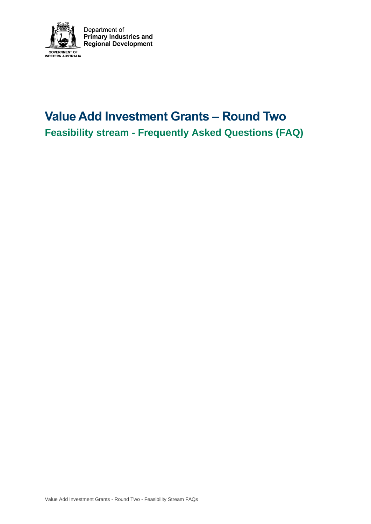

# **Value Add Investment Grants – Round Two Feasibility stream - Frequently Asked Questions (FAQ)**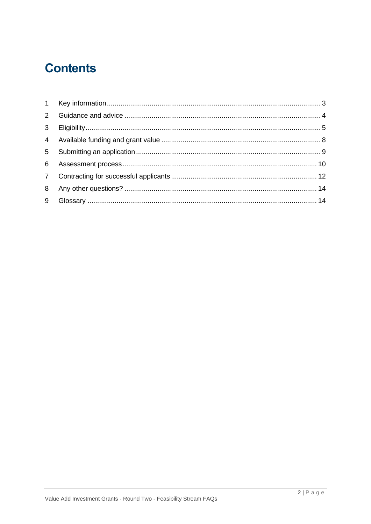# **Contents**

| 3 <sup>7</sup> |  |
|----------------|--|
|                |  |
|                |  |
|                |  |
|                |  |
|                |  |
|                |  |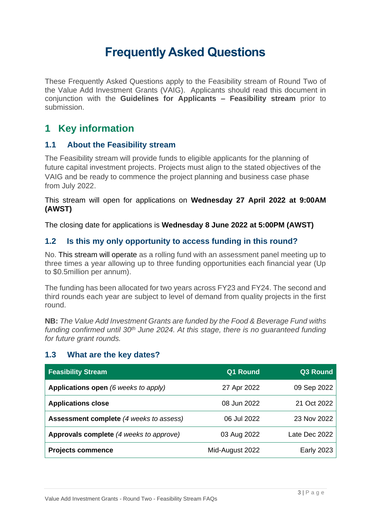## **Frequently Asked Questions**

These Frequently Asked Questions apply to the Feasibility stream of Round Two of the Value Add Investment Grants (VAIG). Applicants should read this document in conjunction with the **Guidelines for Applicants – Feasibility stream** prior to submission.

## <span id="page-2-0"></span>**1 Key information**

#### **1.1 About the Feasibility stream**

The Feasibility stream will provide funds to eligible applicants for the planning of future capital investment projects. Projects must align to the stated objectives of the VAIG and be ready to commence the project planning and business case phase from July 2022.

#### This stream will open for applications on **Wednesday 27 April 2022 at 9:00AM (AWST)**

The closing date for applications is **Wednesday 8 June 2022 at 5:00PM (AWST)**

#### **1.2 Is this my only opportunity to access funding in this round?**

No. This stream will operate as a rolling fund with an assessment panel meeting up to three times a year allowing up to three funding opportunities each financial year (Up to \$0.5million per annum).

The funding has been allocated for two years across FY23 and FY24. The second and third rounds each year are subject to level of demand from quality projects in the first round.

**NB:** *The Value Add Investment Grants are funded by the Food & Beverage Fund withs funding confirmed until 30th June 2024. At this stage, there is no guaranteed funding for future grant rounds.*

#### **1.3 What are the key dates?**

| <b>Feasibility Stream</b>               | <b>Q1 Round</b> | Q3 Round          |
|-----------------------------------------|-----------------|-------------------|
| Applications open (6 weeks to apply)    | 27 Apr 2022     | 09 Sep 2022       |
| <b>Applications close</b>               | 08 Jun 2022     | 21 Oct 2022       |
| Assessment complete (4 weeks to assess) | 06 Jul 2022     | 23 Nov 2022       |
| Approvals complete (4 weeks to approve) | 03 Aug 2022     | Late Dec 2022     |
| <b>Projects commence</b>                | Mid-August 2022 | <b>Early 2023</b> |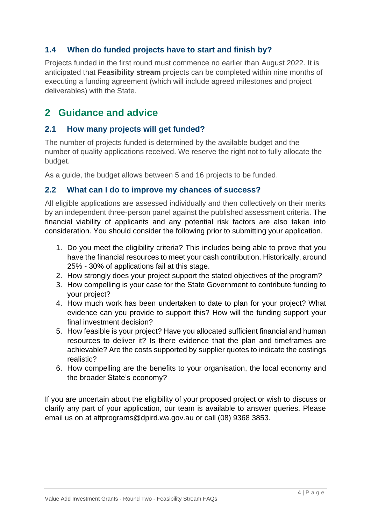#### **1.4 When do funded projects have to start and finish by?**

Projects funded in the first round must commence no earlier than August 2022. It is anticipated that **Feasibility stream** projects can be completed within nine months of executing a funding agreement (which will include agreed milestones and project deliverables) with the State.

## <span id="page-3-0"></span>**2 Guidance and advice**

#### **2.1 How many projects will get funded?**

The number of projects funded is determined by the available budget and the number of quality applications received. We reserve the right not to fully allocate the budget.

As a guide, the budget allows between 5 and 16 projects to be funded.

#### **2.2 What can I do to improve my chances of success?**

All eligible applications are assessed individually and then collectively on their merits by an independent three-person panel against the published assessment criteria. The financial viability of applicants and any potential risk factors are also taken into consideration. You should consider the following prior to submitting your application.

- 1. Do you meet the eligibility criteria? This includes being able to prove that you have the financial resources to meet your cash contribution. Historically, around 25% - 30% of applications fail at this stage.
- 2. How strongly does your project support the stated objectives of the program?
- 3. How compelling is your case for the State Government to contribute funding to your project?
- 4. How much work has been undertaken to date to plan for your project? What evidence can you provide to support this? How will the funding support your final investment decision?
- 5. How feasible is your project? Have you allocated sufficient financial and human resources to deliver it? Is there evidence that the plan and timeframes are achievable? Are the costs supported by supplier quotes to indicate the costings realistic?
- 6. How compelling are the benefits to your organisation, the local economy and the broader State's economy?

If you are uncertain about the eligibility of your proposed project or wish to discuss or clarify any part of your application, our team is available to answer queries. Please email us on at aftprograms@dpird.wa.gov.au or call (08) 9368 3853.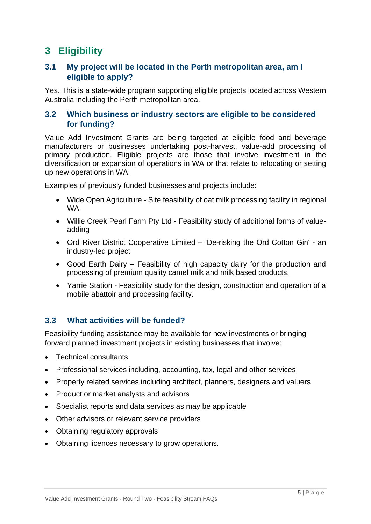## <span id="page-4-0"></span>**3 Eligibility**

#### **3.1 My project will be located in the Perth metropolitan area, am I eligible to apply?**

Yes. This is a state-wide program supporting eligible projects located across Western Australia including the Perth metropolitan area.

#### **3.2 Which business or industry sectors are eligible to be considered for funding?**

Value Add Investment Grants are being targeted at eligible food and beverage manufacturers or businesses undertaking post-harvest, value-add processing of primary production. Eligible projects are those that involve investment in the diversification or expansion of operations in WA or that relate to relocating or setting up new operations in WA.

Examples of previously funded businesses and projects include:

- Wide Open Agriculture Site feasibility of oat milk processing facility in regional WA
- Willie Creek Pearl Farm Pty Ltd Feasibility study of additional forms of valueadding
- Ord River District Cooperative Limited 'De-risking the Ord Cotton Gin' an industry-led project
- Good Earth Dairy Feasibility of high capacity dairy for the production and processing of premium quality camel milk and milk based products.
- Yarrie Station Feasibility study for the design, construction and operation of a mobile abattoir and processing facility.

#### **3.3 What activities will be funded?**

Feasibility funding assistance may be available for new investments or bringing forward planned investment projects in existing businesses that involve:

- Technical consultants
- Professional services including, accounting, tax, legal and other services
- Property related services including architect, planners, designers and valuers
- Product or market analysts and advisors
- Specialist reports and data services as may be applicable
- Other advisors or relevant service providers
- Obtaining regulatory approvals
- Obtaining licences necessary to grow operations.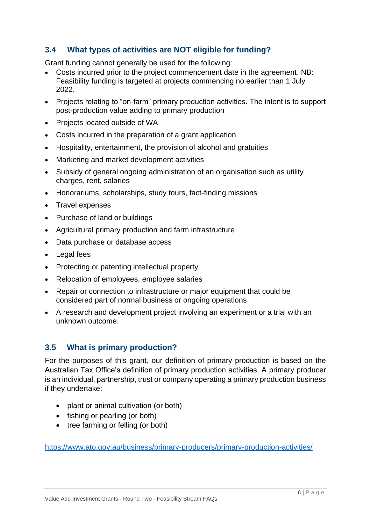#### **3.4 What types of activities are NOT eligible for funding?**

Grant funding cannot generally be used for the following:

- Costs incurred prior to the project commencement date in the agreement. NB: Feasibility funding is targeted at projects commencing no earlier than 1 July 2022.
- Projects relating to "on-farm" primary production activities. The intent is to support post-production value adding to primary production
- Projects located outside of WA
- Costs incurred in the preparation of a grant application
- Hospitality, entertainment, the provision of alcohol and gratuities
- Marketing and market development activities
- Subsidy of general ongoing administration of an organisation such as utility charges, rent, salaries
- Honorariums, scholarships, study tours, fact-finding missions
- Travel expenses
- Purchase of land or buildings
- Agricultural primary production and farm infrastructure
- Data purchase or database access
- Legal fees
- Protecting or patenting intellectual property
- Relocation of employees, employee salaries
- Repair or connection to infrastructure or major equipment that could be considered part of normal business or ongoing operations
- A research and development project involving an experiment or a trial with an unknown outcome.

#### **3.5 What is primary production?**

For the purposes of this grant, our definition of primary production is based on the Australian Tax Office's definition of primary production activities. A primary producer is an individual, partnership, trust or company operating a primary production business if they undertake:

- plant or animal cultivation (or both)
- fishing or pearling (or both)
- tree farming or felling (or both)

<https://www.ato.gov.au/business/primary-producers/primary-production-activities/>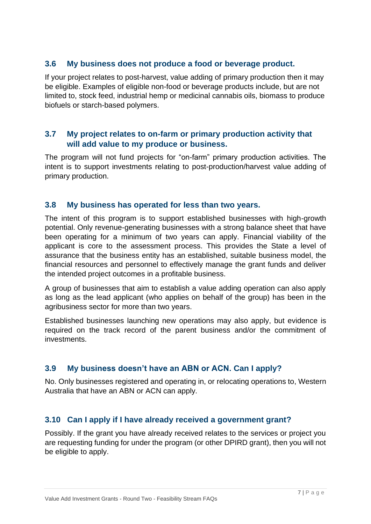#### **3.6 My business does not produce a food or beverage product.**

If your project relates to post-harvest, value adding of primary production then it may be eligible. Examples of eligible non-food or beverage products include, but are not limited to, stock feed, industrial hemp or medicinal cannabis oils, biomass to produce biofuels or starch-based polymers.

#### **3.7 My project relates to on-farm or primary production activity that will add value to my produce or business.**

The program will not fund projects for "on-farm" primary production activities. The intent is to support investments relating to post-production/harvest value adding of primary production.

#### **3.8 My business has operated for less than two years.**

The intent of this program is to support established businesses with high-growth potential. Only revenue-generating businesses with a strong balance sheet that have been operating for a minimum of two years can apply. Financial viability of the applicant is core to the assessment process. This provides the State a level of assurance that the business entity has an established, suitable business model, the financial resources and personnel to effectively manage the grant funds and deliver the intended project outcomes in a profitable business.

A group of businesses that aim to establish a value adding operation can also apply as long as the lead applicant (who applies on behalf of the group) has been in the agribusiness sector for more than two years.

Established businesses launching new operations may also apply, but evidence is required on the track record of the parent business and/or the commitment of investments.

#### **3.9 My business doesn't have an ABN or ACN. Can I apply?**

No. Only businesses registered and operating in, or relocating operations to, Western Australia that have an ABN or ACN can apply.

#### **3.10 Can I apply if I have already received a government grant?**

Possibly. If the grant you have already received relates to the services or project you are requesting funding for under the program (or other DPIRD grant), then you will not be eligible to apply.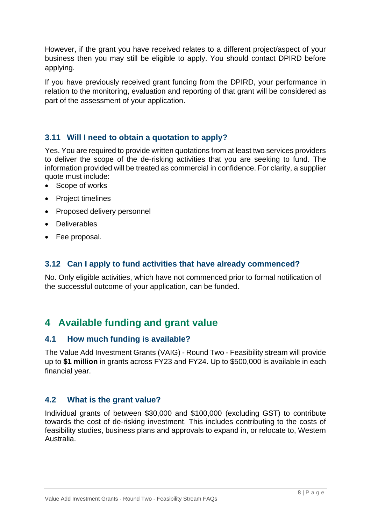However, if the grant you have received relates to a different project/aspect of your business then you may still be eligible to apply. You should contact DPIRD before applying.

If you have previously received grant funding from the DPIRD, your performance in relation to the monitoring, evaluation and reporting of that grant will be considered as part of the assessment of your application.

#### **3.11 Will I need to obtain a quotation to apply?**

Yes. You are required to provide written quotations from at least two services providers to deliver the scope of the de-risking activities that you are seeking to fund. The information provided will be treated as commercial in confidence. For clarity, a supplier quote must include:

- Scope of works
- Project timelines
- Proposed delivery personnel
- Deliverables
- Fee proposal.

#### **3.12 Can I apply to fund activities that have already commenced?**

No. Only eligible activities, which have not commenced prior to formal notification of the successful outcome of your application, can be funded.

## <span id="page-7-0"></span>**4 Available funding and grant value**

#### **4.1 How much funding is available?**

The Value Add Investment Grants (VAIG) - Round Two - Feasibility stream will provide up to **\$1 million** in grants across FY23 and FY24. Up to \$500,000 is available in each financial year.

#### **4.2 What is the grant value?**

Individual grants of between \$30,000 and \$100,000 (excluding GST) to contribute towards the cost of de-risking investment. This includes contributing to the costs of feasibility studies, business plans and approvals to expand in, or relocate to, Western Australia.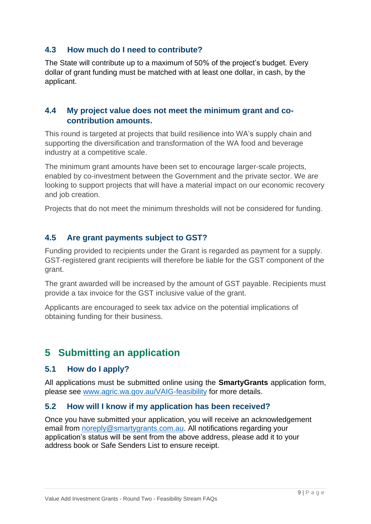#### **4.3 How much do I need to contribute?**

The State will contribute up to a maximum of 50% of the project's budget. Every dollar of grant funding must be matched with at least one dollar, in cash, by the applicant.

#### **4.4 My project value does not meet the minimum grant and cocontribution amounts.**

This round is targeted at projects that build resilience into WA's supply chain and supporting the diversification and transformation of the WA food and beverage industry at a competitive scale.

The minimum grant amounts have been set to encourage larger-scale projects, enabled by co-investment between the Government and the private sector. We are looking to support projects that will have a material impact on our economic recovery and job creation.

Projects that do not meet the minimum thresholds will not be considered for funding.

#### **4.5 Are grant payments subject to GST?**

Funding provided to recipients under the Grant is regarded as payment for a supply. GST-registered grant recipients will therefore be liable for the GST component of the grant.

The grant awarded will be increased by the amount of GST payable. Recipients must provide a tax invoice for the GST inclusive value of the grant.

Applicants are encouraged to seek tax advice on the potential implications of obtaining funding for their business.

## <span id="page-8-0"></span>**5 Submitting an application**

#### **5.1 How do I apply?**

All applications must be submitted online using the **SmartyGrants** application form, please see [www.agric.wa.gov.au/VAIG-feasibility](http://www.agric.wa.gov.au/VAIG-feasibility) for more details.

#### **5.2 How will I know if my application has been received?**

Once you have submitted your application, you will receive an acknowledgement email from [noreply@smartygrants.com.au.](mailto:noreply@smartygrants.com.au) All notifications regarding your application's status will be sent from the above address, please add it to your address book or Safe Senders List to ensure receipt.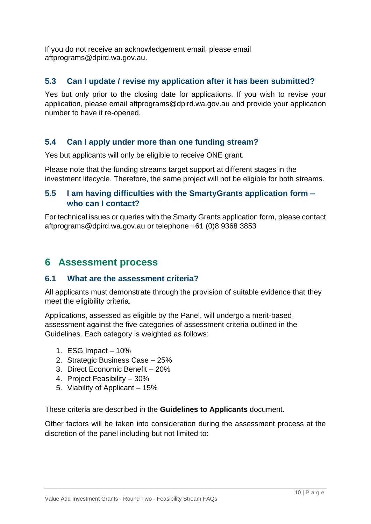If you do not receive an acknowledgement email, please email aftprograms@dpird.wa.gov.au.

#### **5.3 Can I update / revise my application after it has been submitted?**

Yes but only prior to the closing date for applications. If you wish to revise your application, please email aftprograms@dpird.wa.gov.au and provide your application number to have it re-opened.

#### **5.4 Can I apply under more than one funding stream?**

Yes but applicants will only be eligible to receive ONE grant.

Please note that the funding streams target support at different stages in the investment lifecycle. Therefore, the same project will not be eligible for both streams.

#### **5.5 I am having difficulties with the SmartyGrants application form – who can I contact?**

For technical issues or queries with the Smarty Grants application form, please contact aftprogram[s@dpird.wa.gov.au](mailto:Chia.DeCosta@dpird.wa.gov.au) or telephone +61 (0)8 9368 3853

## <span id="page-9-0"></span>**6 Assessment process**

#### **6.1 What are the assessment criteria?**

All applicants must demonstrate through the provision of suitable evidence that they meet the eligibility criteria.

Applications, assessed as eligible by the Panel, will undergo a merit-based assessment against the five categories of assessment criteria outlined in the Guidelines. Each category is weighted as follows:

- 1. ESG Impact 10%
- 2. Strategic Business Case 25%
- 3. Direct Economic Benefit 20%
- 4. Project Feasibility 30%
- 5. Viability of Applicant 15%

These criteria are described in the **Guidelines to Applicants** document.

Other factors will be taken into consideration during the assessment process at the discretion of the panel including but not limited to: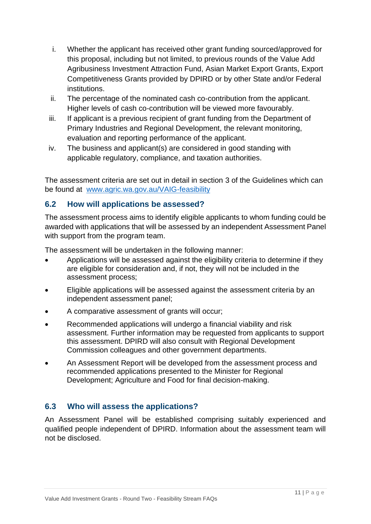- i. Whether the applicant has received other grant funding sourced/approved for this proposal, including but not limited, to previous rounds of the Value Add Agribusiness Investment Attraction Fund, Asian Market Export Grants, Export Competitiveness Grants provided by DPIRD or by other State and/or Federal institutions.
- ii. The percentage of the nominated cash co-contribution from the applicant. Higher levels of cash co-contribution will be viewed more favourably.
- iii. If applicant is a previous recipient of grant funding from the Department of Primary Industries and Regional Development, the relevant monitoring, evaluation and reporting performance of the applicant.
- iv. The business and applicant(s) are considered in good standing with applicable regulatory, compliance, and taxation authorities.

The assessment criteria are set out in detail in section 3 of the Guidelines which can be found at [www.agric.wa.gov.au/VAIG-feasibility](https://www.agric.wa.gov.au/VAIG-feasibility)

#### **6.2 How will applications be assessed?**

The assessment process aims to identify eligible applicants to whom funding could be awarded with applications that will be assessed by an independent Assessment Panel with support from the program team.

The assessment will be undertaken in the following manner:

- Applications will be assessed against the eligibility criteria to determine if they are eligible for consideration and, if not, they will not be included in the assessment process;
- Eligible applications will be assessed against the assessment criteria by an independent assessment panel;
- A comparative assessment of grants will occur;
- Recommended applications will undergo a financial viability and risk assessment. Further information may be requested from applicants to support this assessment. DPIRD will also consult with Regional Development Commission colleagues and other government departments.
- An Assessment Report will be developed from the assessment process and recommended applications presented to the Minister for Regional Development; Agriculture and Food for final decision-making.

#### **6.3 Who will assess the applications?**

An Assessment Panel will be established comprising suitably experienced and qualified people independent of DPIRD. Information about the assessment team will not be disclosed.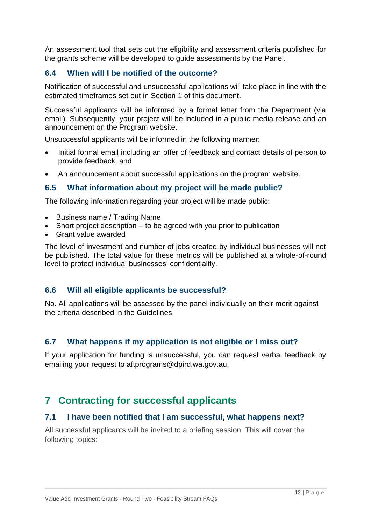An assessment tool that sets out the eligibility and assessment criteria published for the grants scheme will be developed to guide assessments by the Panel.

#### **6.4 When will I be notified of the outcome?**

Notification of successful and unsuccessful applications will take place in line with the estimated timeframes set out in Section 1 of this document.

Successful applicants will be informed by a formal letter from the Department (via email). Subsequently, your project will be included in a public media release and an announcement on the Program website.

Unsuccessful applicants will be informed in the following manner:

- Initial formal email including an offer of feedback and contact details of person to provide feedback; and
- An announcement about successful applications on the program website.

#### **6.5 What information about my project will be made public?**

The following information regarding your project will be made public:

- Business name / Trading Name
- Short project description to be agreed with you prior to publication
- Grant value awarded

The level of investment and number of jobs created by individual businesses will not be published. The total value for these metrics will be published at a whole-of-round level to protect individual businesses' confidentiality.

#### **6.6 Will all eligible applicants be successful?**

No. All applications will be assessed by the panel individually on their merit against the criteria described in the Guidelines.

#### **6.7 What happens if my application is not eligible or I miss out?**

If your application for funding is unsuccessful, you can request verbal feedback by emailing your request to aftprograms@dpird.wa.gov.au.

## <span id="page-11-0"></span>**7 Contracting for successful applicants**

#### **7.1 I have been notified that I am successful, what happens next?**

All successful applicants will be invited to a briefing session. This will cover the following topics: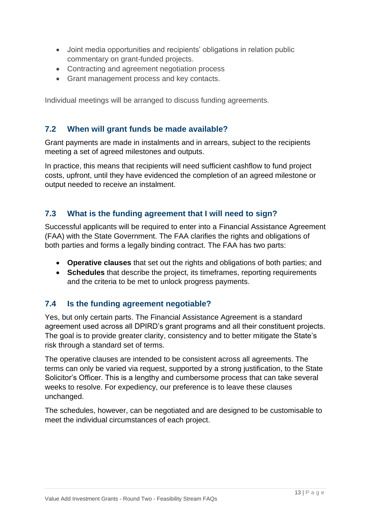- Joint media opportunities and recipients' obligations in relation public commentary on grant-funded projects.
- Contracting and agreement negotiation process
- Grant management process and key contacts.

Individual meetings will be arranged to discuss funding agreements.

#### **7.2 When will grant funds be made available?**

Grant payments are made in instalments and in arrears, subject to the recipients meeting a set of agreed milestones and outputs.

In practice, this means that recipients will need sufficient cashflow to fund project costs, upfront, until they have evidenced the completion of an agreed milestone or output needed to receive an instalment.

#### **7.3 What is the funding agreement that I will need to sign?**

Successful applicants will be required to enter into a Financial Assistance Agreement (FAA) with the State Government. The FAA clarifies the rights and obligations of both parties and forms a legally binding contract. The FAA has two parts:

- **Operative clauses** that set out the rights and obligations of both parties; and
- **Schedules** that describe the project, its timeframes, reporting requirements and the criteria to be met to unlock progress payments.

#### **7.4 Is the funding agreement negotiable?**

Yes, but only certain parts. The Financial Assistance Agreement is a standard agreement used across all DPIRD's grant programs and all their constituent projects. The goal is to provide greater clarity, consistency and to better mitigate the State's risk through a standard set of terms.

The operative clauses are intended to be consistent across all agreements. The terms can only be varied via request, supported by a strong justification, to the State Solicitor's Officer. This is a lengthy and cumbersome process that can take several weeks to resolve. For expediency, our preference is to leave these clauses unchanged.

The schedules, however, can be negotiated and are designed to be customisable to meet the individual circumstances of each project.